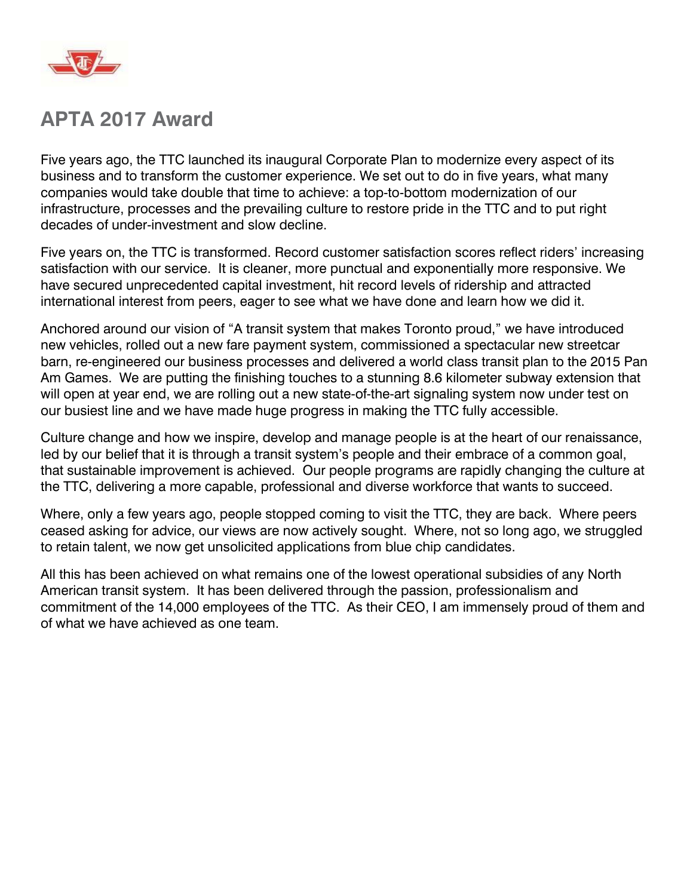

# **APTA 2017 Award**

Five years ago, the TTC launched its inaugural Corporate Plan to modernize every aspect of its business and to transform the customer experience. We set out to do in five years, what many companies would take double that time to achieve: a top-to-bottom modernization of our infrastructure, processes and the prevailing culture to restore pride in the TTC and to put right decades of under-investment and slow decline.

Five years on, the TTC is transformed. Record customer satisfaction scores reflect riders' increasing satisfaction with our service. It is cleaner, more punctual and exponentially more responsive. We have secured unprecedented capital investment, hit record levels of ridership and attracted international interest from peers, eager to see what we have done and learn how we did it.

Anchored around our vision of "A transit system that makes Toronto proud," we have introduced new vehicles, rolled out a new fare payment system, commissioned a spectacular new streetcar barn, re-engineered our business processes and delivered a world class transit plan to the 2015 Pan Am Games. We are putting the finishing touches to a stunning 8.6 kilometer subway extension that will open at year end, we are rolling out a new state-of-the-art signaling system now under test on our busiest line and we have made huge progress in making the TTC fully accessible.

Culture change and how we inspire, develop and manage people is at the heart of our renaissance, led by our belief that it is through a transit system's people and their embrace of a common goal, that sustainable improvement is achieved. Our people programs are rapidly changing the culture at the TTC, delivering a more capable, professional and diverse workforce that wants to succeed.

Where, only a few years ago, people stopped coming to visit the TTC, they are back. Where peers ceased asking for advice, our views are now actively sought. Where, not so long ago, we struggled to retain talent, we now get unsolicited applications from blue chip candidates.

All this has been achieved on what remains one of the lowest operational subsidies of any North American transit system. It has been delivered through the passion, professionalism and commitment of the 14,000 employees of the TTC. As their CEO, I am immensely proud of them and of what we have achieved as one team.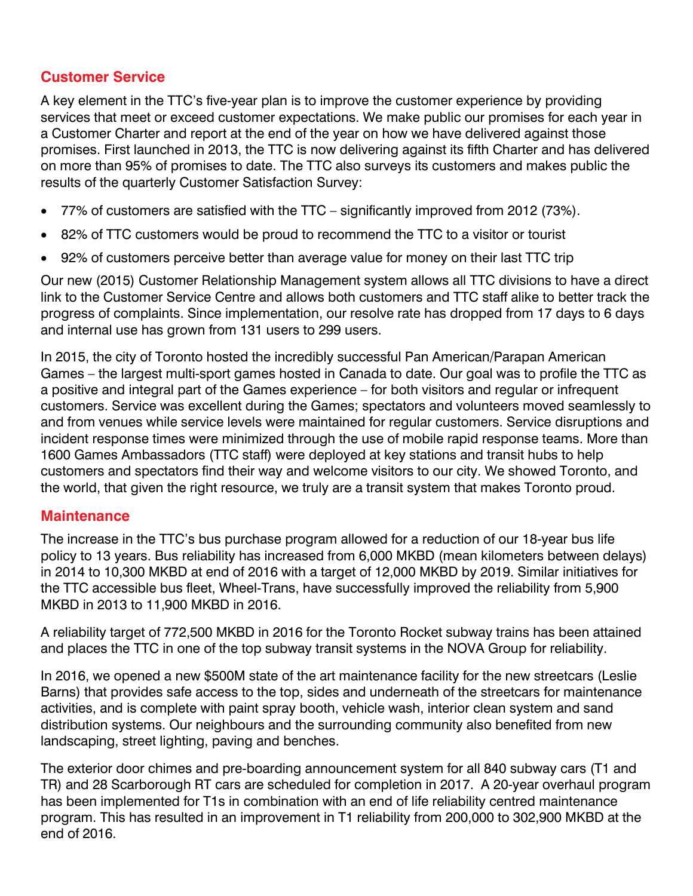## **Customer Service**

A key element in the TTC's five-year plan is to improve the customer experience by providing services that meet or exceed customer expectations. We make public our promises for each year in a Customer Charter and report at the end of the year on how we have delivered against those promises. First launched in 2013, the TTC is now delivering against its fifth Charter and has delivered on more than 95% of promises to date. The TTC also surveys its customers and makes public the results of the quarterly Customer Satisfaction Survey:

- 77% of customers are satisfied with the TTC significantly improved from 2012 (73%).
- 82% of TTC customers would be proud to recommend the TTC to a visitor or tourist
- 92% of customers perceive better than average value for money on their last TTC trip

Our new (2015) Customer Relationship Management system allows all TTC divisions to have a direct link to the Customer Service Centre and allows both customers and TTC staff alike to better track the progress of complaints. Since implementation, our resolve rate has dropped from 17 days to 6 days and internal use has grown from 131 users to 299 users.

In 2015, the city of Toronto hosted the incredibly successful Pan American/Parapan American Games – the largest multi-sport games hosted in Canada to date. Our goal was to profile the TTC as a positive and integral part of the Games experience – for both visitors and regular or infrequent customers. Service was excellent during the Games; spectators and volunteers moved seamlessly to and from venues while service levels were maintained for regular customers. Service disruptions and incident response times were minimized through the use of mobile rapid response teams. More than 1600 Games Ambassadors (TTC staff) were deployed at key stations and transit hubs to help customers and spectators find their way and welcome visitors to our city. We showed Toronto, and the world, that given the right resource, we truly are a transit system that makes Toronto proud.

## **Maintenance**

The increase in the TTC's bus purchase program allowed for a reduction of our 18-year bus life policy to 13 years. Bus reliability has increased from 6,000 MKBD (mean kilometers between delays) in 2014 to 10,300 MKBD at end of 2016 with a target of 12,000 MKBD by 2019. Similar initiatives for the TTC accessible bus fleet, Wheel-Trans, have successfully improved the reliability from 5,900 MKBD in 2013 to 11,900 MKBD in 2016.

A reliability target of 772,500 MKBD in 2016 for the Toronto Rocket subway trains has been attained and places the TTC in one of the top subway transit systems in the NOVA Group for reliability.

In 2016, we opened a new \$500M state of the art maintenance facility for the new streetcars (Leslie Barns) that provides safe access to the top, sides and underneath of the streetcars for maintenance activities, and is complete with paint spray booth, vehicle wash, interior clean system and sand distribution systems. Our neighbours and the surrounding community also benefited from new landscaping, street lighting, paving and benches.

The exterior door chimes and pre-boarding announcement system for all 840 subway cars (T1 and TR) and 28 Scarborough RT cars are scheduled for completion in 2017. A 20-year overhaul program has been implemented for T1s in combination with an end of life reliability centred maintenance program. This has resulted in an improvement in T1 reliability from 200,000 to 302,900 MKBD at the end of 2016.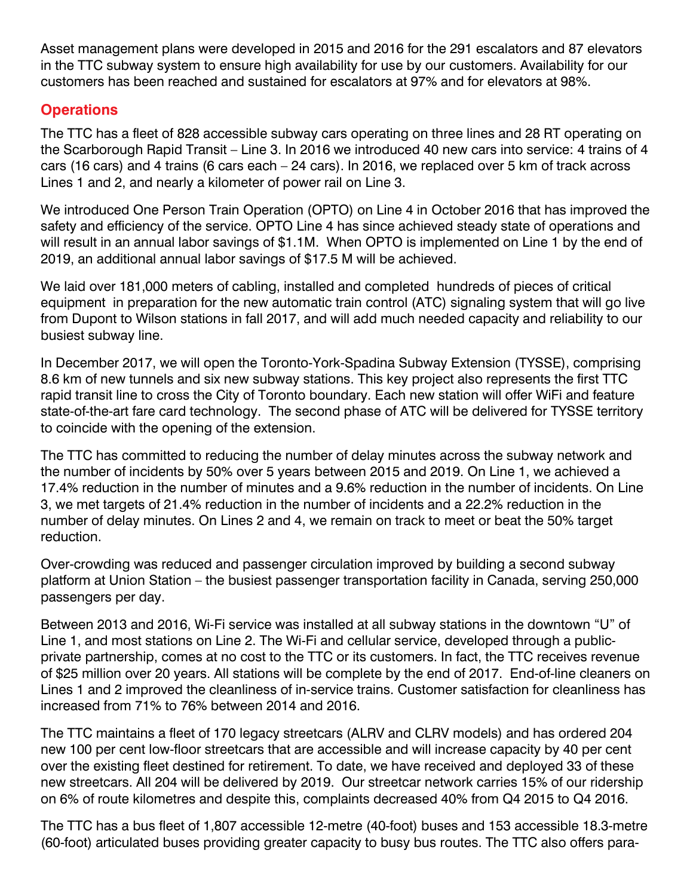Asset management plans were developed in 2015 and 2016 for the 291 escalators and 87 elevators in the TTC subway system to ensure high availability for use by our customers. Availability for our customers has been reached and sustained for escalators at 97% and for elevators at 98%.

## **Operations**

The TTC has a fleet of 828 accessible subway cars operating on three lines and 28 RT operating on the Scarborough Rapid Transit – Line 3. In 2016 we introduced 40 new cars into service: 4 trains of 4 cars (16 cars) and 4 trains (6 cars each – 24 cars). In 2016, we replaced over 5 km of track across Lines 1 and 2, and nearly a kilometer of power rail on Line 3.

We introduced One Person Train Operation (OPTO) on Line 4 in October 2016 that has improved the safety and efficiency of the service. OPTO Line 4 has since achieved steady state of operations and will result in an annual labor savings of \$1.1M. When OPTO is implemented on Line 1 by the end of 2019, an additional annual labor savings of \$17.5 M will be achieved.

We laid over 181,000 meters of cabling, installed and completed hundreds of pieces of critical equipment in preparation for the new automatic train control (ATC) signaling system that will go live from Dupont to Wilson stations in fall 2017, and will add much needed capacity and reliability to our busiest subway line.

In December 2017, we will open the Toronto-York-Spadina Subway Extension (TYSSE), comprising 8.6 km of new tunnels and six new subway stations. This key project also represents the first TTC rapid transit line to cross the City of Toronto boundary. Each new station will offer WiFi and feature state-of-the-art fare card technology. The second phase of ATC will be delivered for TYSSE territory to coincide with the opening of the extension.

The TTC has committed to reducing the number of delay minutes across the subway network and the number of incidents by 50% over 5 years between 2015 and 2019. On Line 1, we achieved a 17.4% reduction in the number of minutes and a 9.6% reduction in the number of incidents. On Line 3, we met targets of 21.4% reduction in the number of incidents and a 22.2% reduction in the number of delay minutes. On Lines 2 and 4, we remain on track to meet or beat the 50% target reduction.

Over-crowding was reduced and passenger circulation improved by building a second subway platform at Union Station – the busiest passenger transportation facility in Canada, serving 250,000 passengers per day.

Between 2013 and 2016, Wi-Fi service was installed at all subway stations in the downtown "U" of Line 1, and most stations on Line 2. The Wi-Fi and cellular service, developed through a publicprivate partnership, comes at no cost to the TTC or its customers. In fact, the TTC receives revenue of \$25 million over 20 years. All stations will be complete by the end of 2017. End-of-line cleaners on Lines 1 and 2 improved the cleanliness of in-service trains. Customer satisfaction for cleanliness has increased from 71% to 76% between 2014 and 2016.

The TTC maintains a fleet of 170 legacy streetcars (ALRV and CLRV models) and has ordered 204 new 100 per cent low-floor streetcars that are accessible and will increase capacity by 40 per cent over the existing fleet destined for retirement. To date, we have received and deployed 33 of these new streetcars. All 204 will be delivered by 2019. Our streetcar network carries 15% of our ridership on 6% of route kilometres and despite this, complaints decreased 40% from Q4 2015 to Q4 2016.

The TTC has a bus fleet of 1,807 accessible 12-metre (40-foot) buses and 153 accessible 18.3-metre (60-foot) articulated buses providing greater capacity to busy bus routes. The TTC also offers para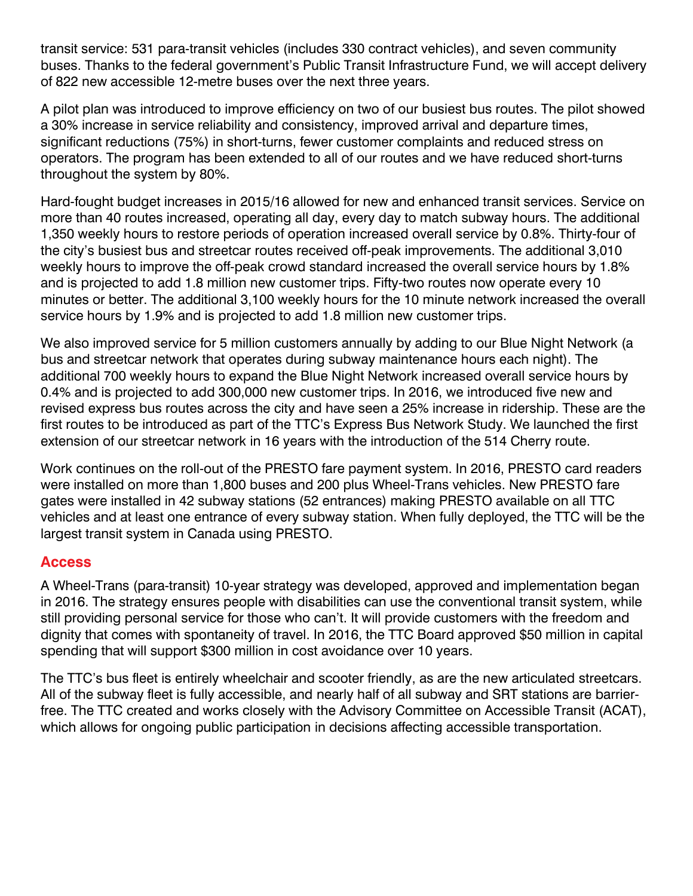transit service: 531 para-transit vehicles (includes 330 contract vehicles), and seven community buses. Thanks to the federal government's Public Transit Infrastructure Fund, we will accept delivery of 822 new accessible 12-metre buses over the next three years.

A pilot plan was introduced to improve efficiency on two of our busiest bus routes. The pilot showed a 30% increase in service reliability and consistency, improved arrival and departure times, significant reductions (75%) in short-turns, fewer customer complaints and reduced stress on operators. The program has been extended to all of our routes and we have reduced short-turns throughout the system by 80%.

Hard-fought budget increases in 2015/16 allowed for new and enhanced transit services. Service on more than 40 routes increased, operating all day, every day to match subway hours. The additional 1,350 weekly hours to restore periods of operation increased overall service by 0.8%. Thirty-four of the city's busiest bus and streetcar routes received off-peak improvements. The additional 3,010 weekly hours to improve the off-peak crowd standard increased the overall service hours by 1.8% and is projected to add 1.8 million new customer trips. Fifty-two routes now operate every 10 minutes or better. The additional 3,100 weekly hours for the 10 minute network increased the overall service hours by 1.9% and is projected to add 1.8 million new customer trips.

We also improved service for 5 million customers annually by adding to our Blue Night Network (a bus and streetcar network that operates during subway maintenance hours each night). The additional 700 weekly hours to expand the Blue Night Network increased overall service hours by 0.4% and is projected to add 300,000 new customer trips. In 2016, we introduced five new and revised express bus routes across the city and have seen a 25% increase in ridership. These are the first routes to be introduced as part of the TTC's Express Bus Network Study. We launched the first extension of our streetcar network in 16 years with the introduction of the 514 Cherry route.

Work continues on the roll-out of the PRESTO fare payment system. In 2016, PRESTO card readers were installed on more than 1,800 buses and 200 plus Wheel-Trans vehicles. New PRESTO fare gates were installed in 42 subway stations (52 entrances) making PRESTO available on all TTC vehicles and at least one entrance of every subway station. When fully deployed, the TTC will be the largest transit system in Canada using PRESTO.

## **Access**

A Wheel-Trans (para-transit) 10-year strategy was developed, approved and implementation began in 2016. The strategy ensures people with disabilities can use the conventional transit system, while still providing personal service for those who can't. It will provide customers with the freedom and dignity that comes with spontaneity of travel. In 2016, the TTC Board approved \$50 million in capital spending that will support \$300 million in cost avoidance over 10 years.

The TTC's bus fleet is entirely wheelchair and scooter friendly, as are the new articulated streetcars. All of the subway fleet is fully accessible, and nearly half of all subway and SRT stations are barrierfree. The TTC created and works closely with the Advisory Committee on Accessible Transit (ACAT), which allows for ongoing public participation in decisions affecting accessible transportation.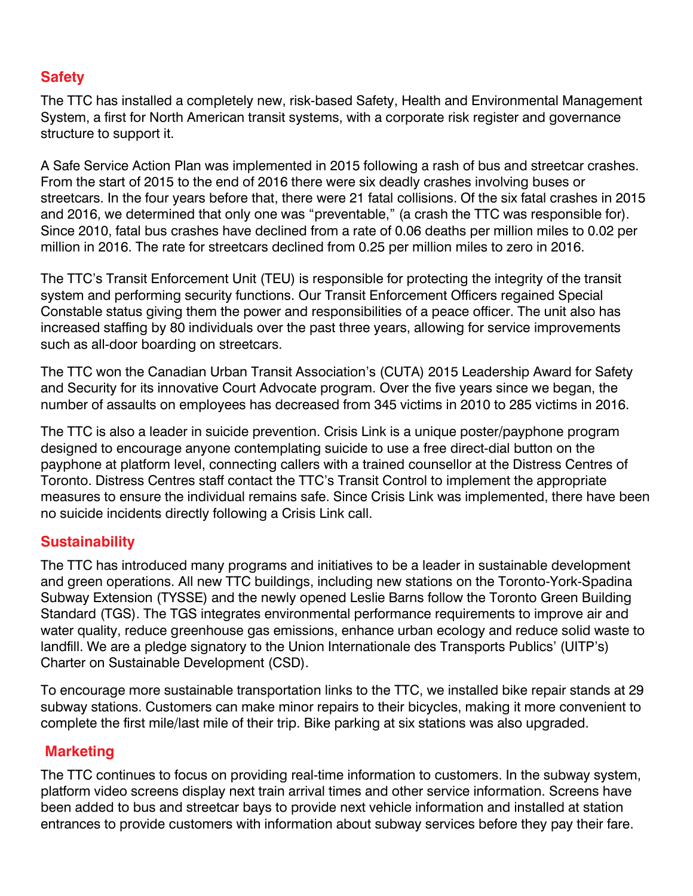## **Safety**

The TTC has installed a completely new, risk-based Safety, Health and Environmental Management System, a first for North American transit systems, with a corporate risk register and governance structure to support it.

A Safe Service Action Plan was implemented in 2015 following a rash of bus and streetcar crashes. From the start of 2015 to the end of 2016 there were six deadly crashes involving buses or streetcars. In the four years before that, there were 21 fatal collisions. Of the six fatal crashes in 2015 and 2016, we determined that only one was "preventable," (a crash the TTC was responsible for). Since 2010, fatal bus crashes have declined from a rate of 0.06 deaths per million miles to 0.02 per million in 2016. The rate for streetcars declined from 0.25 per million miles to zero in 2016.

The TTC's Transit Enforcement Unit (TEU) is responsible for protecting the integrity of the transit system and performing security functions. Our Transit Enforcement Officers regained Special Constable status giving them the power and responsibilities of a peace officer. The unit also has increased staffing by 80 individuals over the past three years, allowing for service improvements such as all-door boarding on streetcars.

The TTC won the Canadian Urban Transit Association's (CUTA) 2015 Leadership Award for Safety and Security for its innovative Court Advocate program. Over the five years since we began, the number of assaults on employees has decreased from 345 victims in 2010 to 285 victims in 2016.

The TTC is also a leader in suicide prevention. Crisis Link is a unique poster/payphone program designed to encourage anyone contemplating suicide to use a free direct-dial button on the payphone at platform level, connecting callers with a trained counsellor at the Distress Centres of Toronto. Distress Centres staff contact the TTC's Transit Control to implement the appropriate measures to ensure the individual remains safe. Since Crisis Link was implemented, there have been no suicide incidents directly following a Crisis Link call.

## **Sustainability**

The TTC has introduced many programs and initiatives to be a leader in sustainable development and green operations. All new TTC buildings, including new stations on the Toronto-York-Spadina Subway Extension (TYSSE) and the newly opened Leslie Barns follow the Toronto Green Building Standard (TGS). The TGS integrates environmental performance requirements to improve air and water quality, reduce greenhouse gas emissions, enhance urban ecology and reduce solid waste to landfill. We are a pledge signatory to the Union Internationale des Transports Publics' (UITP's) Charter on Sustainable Development (CSD).

To encourage more sustainable transportation links to the TTC, we installed bike repair stands at 29 subway stations. Customers can make minor repairs to their bicycles, making it more convenient to complete the first mile/last mile of their trip. Bike parking at six stations was also upgraded.

## **Marketing**

The TTC continues to focus on providing real-time information to customers. In the subway system, platform video screens display next train arrival times and other service information. Screens have been added to bus and streetcar bays to provide next vehicle information and installed at station entrances to provide customers with information about subway services before they pay their fare.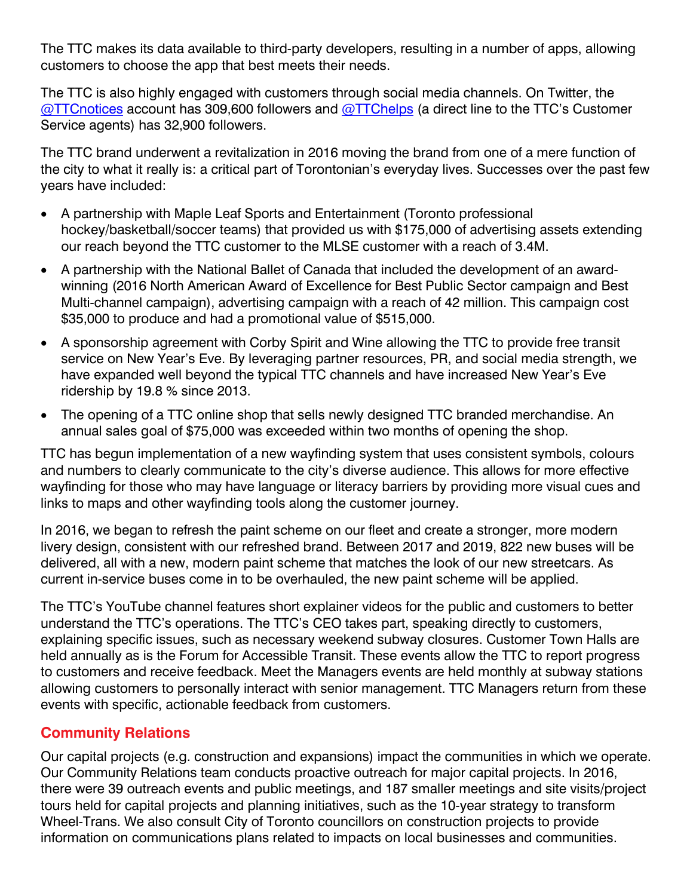The TTC makes its data available to third-party developers, resulting in a number of apps, allowing customers to choose the app that best meets their needs.

The TTC is also highly engaged with customers through social media channels. On Twitter, the [@TTCnotices](http://www.twitter.com/TTCnotices) account has 309,600 followers and [@TTChelps](http://www.twitter.com/TTChelps) (a direct line to the TTC's Customer Service agents) has 32,900 followers.

The TTC brand underwent a revitalization in 2016 moving the brand from one of a mere function of the city to what it really is: a critical part of Torontonian's everyday lives. Successes over the past few years have included:

- A partnership with Maple Leaf Sports and Entertainment (Toronto professional hockey/basketball/soccer teams) that provided us with \$175,000 of advertising assets extending our reach beyond the TTC customer to the MLSE customer with a reach of 3.4M.
- A partnership with the National Ballet of Canada that included the development of an awardwinning (2016 North American Award of Excellence for Best Public Sector campaign and Best Multi-channel campaign), advertising campaign with a reach of 42 million. This campaign cost \$35,000 to produce and had a promotional value of \$515,000.
- A sponsorship agreement with Corby Spirit and Wine allowing the TTC to provide free transit service on New Year's Eve. By leveraging partner resources, PR, and social media strength, we have expanded well beyond the typical TTC channels and have increased New Year's Eve ridership by 19.8 % since 2013.
- The opening of a TTC online shop that sells newly designed TTC branded merchandise. An annual sales goal of \$75,000 was exceeded within two months of opening the shop.

TTC has begun implementation of a new wayfinding system that uses consistent symbols, colours and numbers to clearly communicate to the city's diverse audience. This allows for more effective wayfinding for those who may have language or literacy barriers by providing more visual cues and links to maps and other wayfinding tools along the customer journey.

In 2016, we began to refresh the paint scheme on our fleet and create a stronger, more modern livery design, consistent with our refreshed brand. Between 2017 and 2019, 822 new buses will be delivered, all with a new, modern paint scheme that matches the look of our new streetcars. As current in-service buses come in to be overhauled, the new paint scheme will be applied.

The TTC's YouTube channel features short explainer videos for the public and customers to better understand the TTC's operations. The TTC's CEO takes part, speaking directly to customers, explaining specific issues, such as necessary weekend subway closures. Customer Town Halls are held annually as is the Forum for Accessible Transit. These events allow the TTC to report progress to customers and receive feedback. Meet the Managers events are held monthly at subway stations allowing customers to personally interact with senior management. TTC Managers return from these events with specific, actionable feedback from customers.

## **Community Relations**

Our capital projects (e.g. construction and expansions) impact the communities in which we operate. Our Community Relations team conducts proactive outreach for major capital projects. In 2016, there were 39 outreach events and public meetings, and 187 smaller meetings and site visits/project tours held for capital projects and planning initiatives, such as the 10-year strategy to transform Wheel-Trans. We also consult City of Toronto councillors on construction projects to provide information on communications plans related to impacts on local businesses and communities.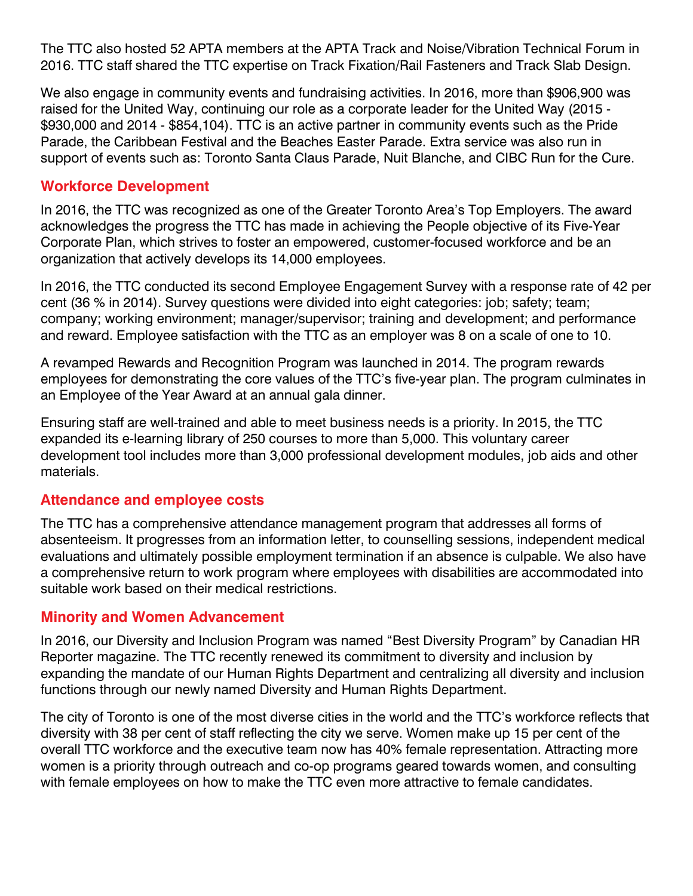The TTC also hosted 52 APTA members at the APTA Track and Noise/Vibration Technical Forum in 2016. TTC staff shared the TTC expertise on Track Fixation/Rail Fasteners and Track Slab Design.

We also engage in community events and fundraising activities. In 2016, more than \$906,900 was raised for the United Way, continuing our role as a corporate leader for the United Way (2015 - \$930,000 and 2014 - \$854,104). TTC is an active partner in community events such as the Pride Parade, the Caribbean Festival and the Beaches Easter Parade. Extra service was also run in support of events such as: Toronto Santa Claus Parade, Nuit Blanche, and CIBC Run for the Cure.

## **Workforce Development**

In 2016, the TTC was recognized as one of the Greater Toronto Area's Top Employers. The award acknowledges the progress the TTC has made in achieving the People objective of its Five-Year Corporate Plan, which strives to foster an empowered, customer-focused workforce and be an organization that actively develops its 14,000 employees.

In 2016, the TTC conducted its second Employee Engagement Survey with a response rate of 42 per cent (36 % in 2014). Survey questions were divided into eight categories: job; safety; team; company; working environment; manager/supervisor; training and development; and performance and reward. Employee satisfaction with the TTC as an employer was 8 on a scale of one to 10.

A revamped Rewards and Recognition Program was launched in 2014. The program rewards employees for demonstrating the core values of the TTC's five-year plan. The program culminates in an Employee of the Year Award at an annual gala dinner.

Ensuring staff are well-trained and able to meet business needs is a priority. In 2015, the TTC expanded its e-learning library of 250 courses to more than 5,000. This voluntary career development tool includes more than 3,000 professional development modules, job aids and other materials.

## **Attendance and employee costs**

The TTC has a comprehensive attendance management program that addresses all forms of absenteeism. It progresses from an information letter, to counselling sessions, independent medical evaluations and ultimately possible employment termination if an absence is culpable. We also have a comprehensive return to work program where employees with disabilities are accommodated into suitable work based on their medical restrictions.

## **Minority and Women Advancement**

In 2016, our Diversity and Inclusion Program was named "Best Diversity Program" by Canadian HR Reporter magazine. The TTC recently renewed its commitment to diversity and inclusion by expanding the mandate of our Human Rights Department and centralizing all diversity and inclusion functions through our newly named Diversity and Human Rights Department.

The city of Toronto is one of the most diverse cities in the world and the TTC's workforce reflects that diversity with 38 per cent of staff reflecting the city we serve. Women make up 15 per cent of the overall TTC workforce and the executive team now has 40% female representation. Attracting more women is a priority through outreach and co-op programs geared towards women, and consulting with female employees on how to make the TTC even more attractive to female candidates.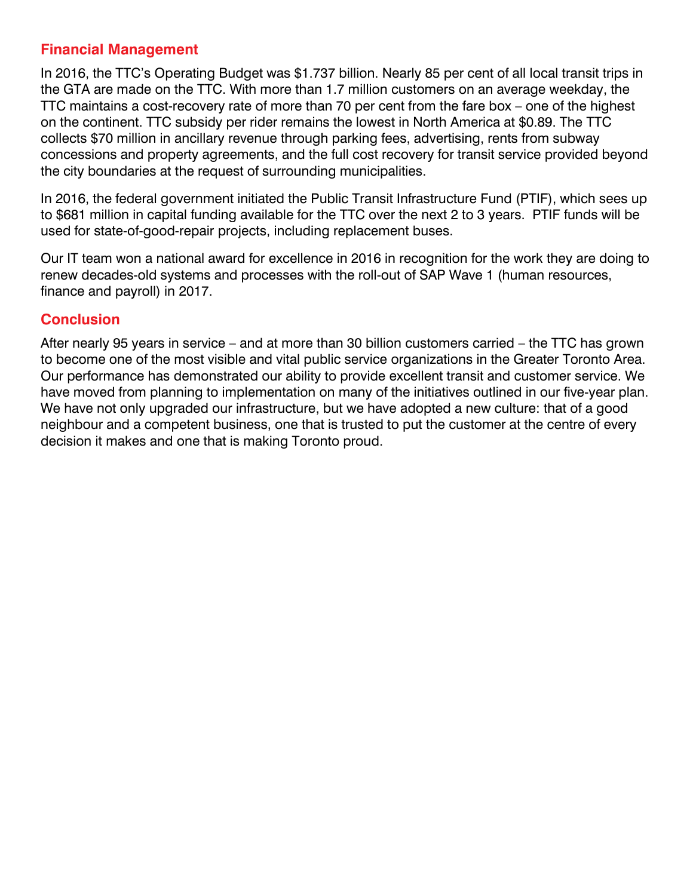## **Financial Management**

In 2016, the TTC's Operating Budget was \$1.737 billion. Nearly 85 per cent of all local transit trips in the GTA are made on the TTC. With more than 1.7 million customers on an average weekday, the TTC maintains a cost-recovery rate of more than 70 per cent from the fare box – one of the highest on the continent. TTC subsidy per rider remains the lowest in North America at \$0.89. The TTC collects \$70 million in ancillary revenue through parking fees, advertising, rents from subway concessions and property agreements, and the full cost recovery for transit service provided beyond the city boundaries at the request of surrounding municipalities.

In 2016, the federal government initiated the Public Transit Infrastructure Fund (PTIF), which sees up to \$681 million in capital funding available for the TTC over the next 2 to 3 years. PTIF funds will be used for state-of-good-repair projects, including replacement buses.

Our IT team won a national award for excellence in 2016 in recognition for the work they are doing to renew decades-old systems and processes with the roll-out of SAP Wave 1 (human resources, finance and payroll) in 2017.

## **Conclusion**

After nearly 95 years in service – and at more than 30 billion customers carried – the TTC has grown to become one of the most visible and vital public service organizations in the Greater Toronto Area. Our performance has demonstrated our ability to provide excellent transit and customer service. We have moved from planning to implementation on many of the initiatives outlined in our five-year plan. We have not only upgraded our infrastructure, but we have adopted a new culture: that of a good neighbour and a competent business, one that is trusted to put the customer at the centre of every decision it makes and one that is making Toronto proud.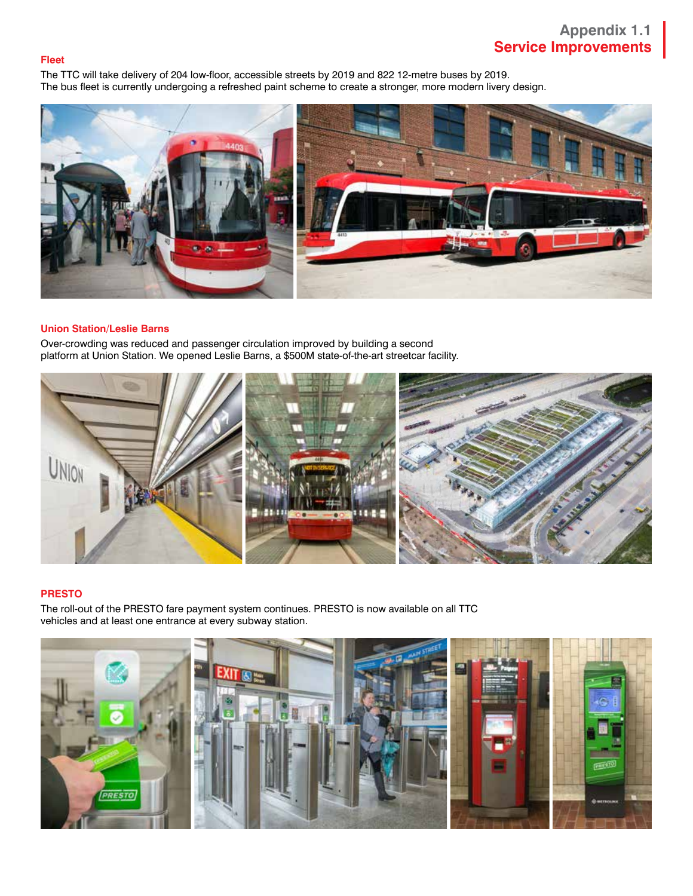#### **Fleet**

The TTC will take delivery of 204 low-floor, accessible streets by 2019 and 822 12-metre buses by 2019. The bus fleet is currently undergoing a refreshed paint scheme to create a stronger, more modern livery design.



### **Union Station/Leslie Barns**

Over-crowding was reduced and passenger circulation improved by building a second platform at Union Station. We opened Leslie Barns, a \$500M state-of-the-art streetcar facility.



### **PRESTO**

The roll-out of the PRESTO fare payment system continues. PRESTO is now available on all TTC vehicles and at least one entrance at every subway station.

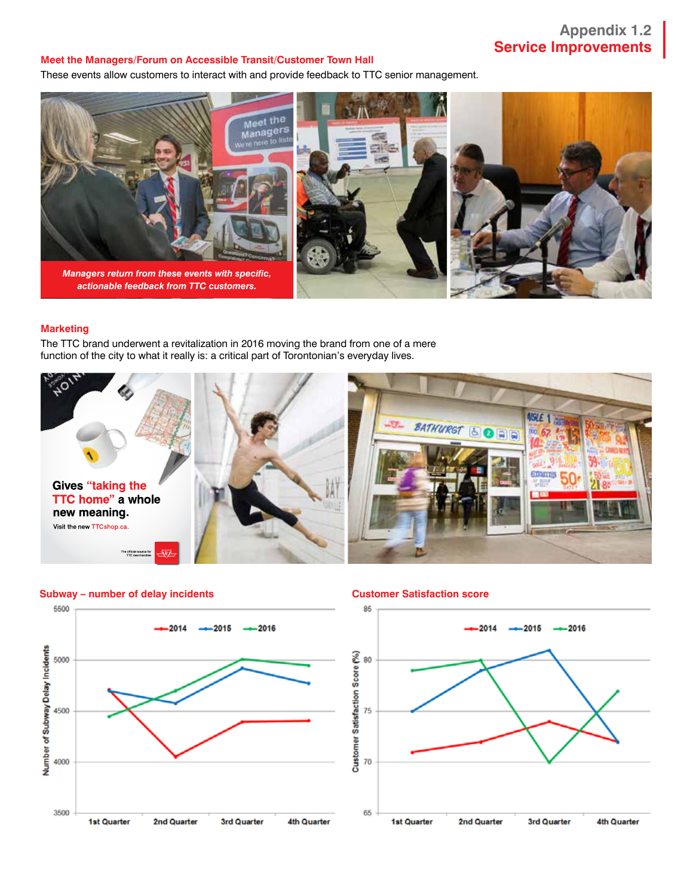## **Appendix 1.2 Service Improvements**

#### **Meet the Managers/Forum on Accessible Transit/Customer Town Hall**

These events allow customers to interact with and provide feedback to TTC senior management.



#### **Marketing**

The TTC brand underwent a revitalization in 2016 moving the brand from one of a mere function of the city to what it really is: a critical part of Torontonian's everyday lives.





**Subway – number of delay incidents Customer Satisfaction score**